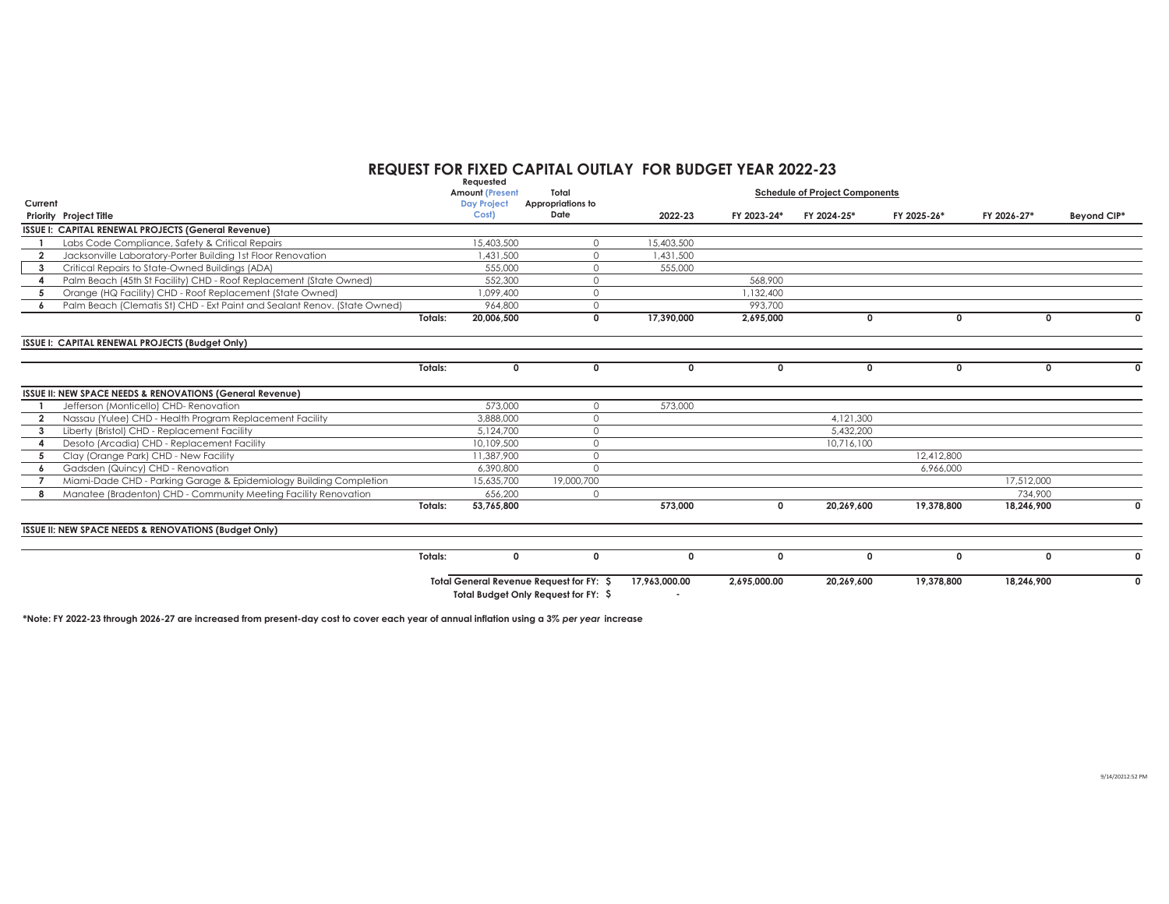## **REQUEST FOR FIXED CAPITAL OUTLAY FOR BUDGET YEAR 2022-23 Requested**

| Current                                                                        |         | rednesien<br><b>Amount (Present</b><br><b>Day Project</b> | Total<br>Appropriations to                                                       |               |              | <b>Schedule of Project Components</b> |              |              |             |
|--------------------------------------------------------------------------------|---------|-----------------------------------------------------------|----------------------------------------------------------------------------------|---------------|--------------|---------------------------------------|--------------|--------------|-------------|
| Priority Project Title                                                         |         | Cost)                                                     | Date                                                                             | 2022-23       | FY 2023-24*  | FY 2024-25*                           | FY 2025-26*  | FY 2026-27*  | Beyond CIP* |
| ISSUE I: CAPITAL RENEWAL PROJECTS (General Revenue)                            |         |                                                           |                                                                                  |               |              |                                       |              |              |             |
| Labs Code Compliance, Safety & Critical Repairs                                |         | 5,403,500                                                 | $\Omega$                                                                         | 15,403,500    |              |                                       |              |              |             |
| Jacksonville Laboratory-Porter Building 1st Floor Renovation<br>$\overline{2}$ |         | 431,500                                                   | $\circ$                                                                          | ,431,500      |              |                                       |              |              |             |
| Critical Repairs to State-Owned Buildings (ADA)<br>$\overline{\mathbf{3}}$     |         | 555,000                                                   | $\Omega$                                                                         | 555,000       |              |                                       |              |              |             |
| Palm Beach (45th St Facility) CHD - Roof Replacement (State Owned)             |         | 552,300                                                   | $\circ$                                                                          |               | 568,900      |                                       |              |              |             |
| Orange (HQ Facility) CHD - Roof Replacement (State Owned)                      |         | 099,400                                                   | $\circ$                                                                          |               | .132.400     |                                       |              |              |             |
| Palm Beach (Clematis St) CHD - Ext Paint and Sealant Renov. (State Owned)      |         | 964.800                                                   | $\circ$                                                                          |               | 993.700      |                                       |              |              |             |
|                                                                                | Totals: | 20,006,500                                                | $\mathbf 0$                                                                      | 17,390,000    | 2,695,000    | $\Omega$                              | $\mathbf{0}$ | $\mathbf{0}$ |             |
| ISSUE I: CAPITAL RENEWAL PROJECTS (Budget Only)                                |         |                                                           |                                                                                  |               |              |                                       |              |              |             |
|                                                                                | Totals: | $\mathbf{0}$                                              | $\mathbf 0$                                                                      | $^{\circ}$    | $\Omega$     | $\Omega$                              | $\mathbf{0}$ | 0            |             |
| ISSUE II: NEW SPACE NEEDS & RENOVATIONS (General Revenue)                      |         |                                                           |                                                                                  |               |              |                                       |              |              |             |
| Jefferson (Monticello) CHD-Renovation                                          |         | 573,000                                                   | $\circ$                                                                          | 573,000       |              |                                       |              |              |             |
| Nassau (Yulee) CHD - Health Program Replacement Facility<br>$\overline{2}$     |         | 3,888,000                                                 | $\Omega$                                                                         |               |              | 4.121.300                             |              |              |             |
| Liberty (Bristol) CHD - Replacement Facility<br>3                              |         | 5,124,700                                                 | $\circ$                                                                          |               |              | 5,432,200                             |              |              |             |
| Desoto (Arcadia) CHD - Replacement Facility                                    |         | 10,109,500                                                | $\circ$                                                                          |               |              | 10,716,100                            |              |              |             |
| Clay (Orange Park) CHD - New Facility<br>5                                     |         | 11,387,900                                                | $\circ$                                                                          |               |              |                                       | 12,412,800   |              |             |
| Gadsden (Quincy) CHD - Renovation<br>6                                         |         | 6,390,800                                                 | $\Omega$                                                                         |               |              |                                       | 6,966,000    |              |             |
| Miami-Dade CHD - Parking Garage & Epidemiology Building Completion             |         | 15,635,700                                                | 19,000,700                                                                       |               |              |                                       |              | 17,512,000   |             |
| Manatee (Bradenton) CHD - Community Meeting Facility Renovation                |         | 656,200                                                   | $\circ$                                                                          |               |              |                                       |              | 734,900      |             |
|                                                                                | Totals: | 53,765,800                                                |                                                                                  | 573,000       | $\mathbf 0$  | 20,269,600                            | 19,378,800   | 18,246,900   | 0           |
| ISSUE II: NEW SPACE NEEDS & RENOVATIONS (Budget Only)                          |         |                                                           |                                                                                  |               |              |                                       |              |              |             |
|                                                                                | Totals: | $\mathbf 0$                                               | $\mathbf 0$                                                                      | $\mathbf{0}$  | $\Omega$     | $\Omega$                              | 0            | 0            |             |
|                                                                                |         |                                                           | Total General Revenue Request for FY: \$<br>Total Budget Only Request for FY: \$ | 17,963,000.00 | 2,695,000.00 | 20,269,600                            | 19,378,800   | 18.246.900   | 0           |

**\*Note: FY 2022-23 through 2026-27 are increased from present-day cost to cover each year of annual inflation using a 3%** *per year* **increase**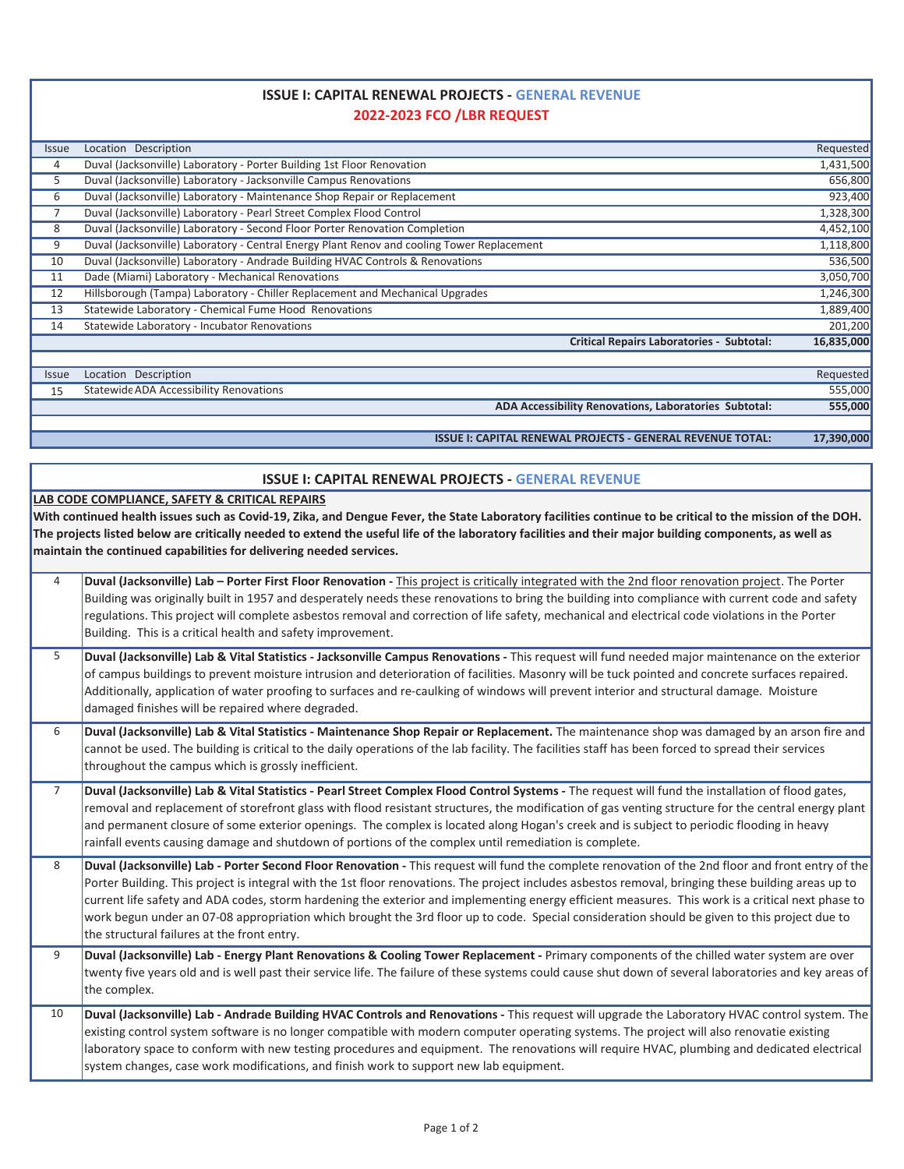## **2022-2023 FCO /LBR REQUEST ISSUE I: CAPITAL RENEWAL PROJECTS - GENERAL REVENUE**

| <i><b>Issue</b></i> | Location Description                                                                       | Requested  |
|---------------------|--------------------------------------------------------------------------------------------|------------|
| 4                   | Duval (Jacksonville) Laboratory - Porter Building 1st Floor Renovation                     | 1,431,500  |
| 5                   | Duval (Jacksonville) Laboratory - Jacksonville Campus Renovations                          | 656,800    |
| 6                   | Duval (Jacksonville) Laboratory - Maintenance Shop Repair or Replacement                   | 923,400    |
|                     | Duval (Jacksonville) Laboratory - Pearl Street Complex Flood Control                       | 1,328,300  |
| 8                   | Duval (Jacksonville) Laboratory - Second Floor Porter Renovation Completion                | 4,452,100  |
| 9                   | Duval (Jacksonville) Laboratory - Central Energy Plant Renov and cooling Tower Replacement | 1,118,800  |
| 10                  | Duval (Jacksonville) Laboratory - Andrade Building HVAC Controls & Renovations             | 536,500    |
| 11                  | Dade (Miami) Laboratory - Mechanical Renovations                                           | 3,050,700  |
| 12                  | Hillsborough (Tampa) Laboratory - Chiller Replacement and Mechanical Upgrades              | 1,246,300  |
| 13                  | Statewide Laboratory - Chemical Fume Hood Renovations                                      | 1,889,400  |
| 14                  | Statewide Laboratory - Incubator Renovations                                               | 201,200    |
|                     | <b>Critical Repairs Laboratories - Subtotal:</b>                                           | 16,835,000 |
|                     |                                                                                            |            |
| <i><b>Issue</b></i> | Location Description                                                                       | Requested  |
| 15                  | Statewide ADA Accessibility Renovations                                                    | 555,000    |
|                     | ADA Accessibility Renovations, Laboratories Subtotal:                                      | 555,000    |
|                     |                                                                                            |            |

**ISSUE I: CAPITAL RENEWAL PROJECTS - GENERAL REVENUE TOTAL: 17,390,000** 

## **ISSUE I: CAPITAL RENEWAL PROJECTS - GENERAL REVENUE**

## **LAB CODE COMPLIANCE, SAFETY & CRITICAL REPAIRS**

**With continued health issues such as Covid-19, Zika, and Dengue Fever, the State Laboratory facilities continue to be critical to the mission of the DOH. The projects listed below are critically needed to extend the useful life of the laboratory facilities and their major building components, as well as maintain the continued capabilities for delivering needed services.** 

| $\overline{4}$ | Duval (Jacksonville) Lab - Porter First Floor Renovation - This project is critically integrated with the 2nd floor renovation project. The Porter<br>Building was originally built in 1957 and desperately needs these renovations to bring the building into compliance with current code and safety<br>regulations. This project will complete asbestos removal and correction of life safety, mechanical and electrical code violations in the Porter<br>Building. This is a critical health and safety improvement.                                                                                                                                       |
|----------------|----------------------------------------------------------------------------------------------------------------------------------------------------------------------------------------------------------------------------------------------------------------------------------------------------------------------------------------------------------------------------------------------------------------------------------------------------------------------------------------------------------------------------------------------------------------------------------------------------------------------------------------------------------------|
| 5              | Duval (Jacksonville) Lab & Vital Statistics - Jacksonville Campus Renovations - This request will fund needed major maintenance on the exterior<br>of campus buildings to prevent moisture intrusion and deterioration of facilities. Masonry will be tuck pointed and concrete surfaces repaired.<br>Additionally, application of water proofing to surfaces and re-caulking of windows will prevent interior and structural damage. Moisture<br>damaged finishes will be repaired where degraded.                                                                                                                                                            |
| 6              | Duval (Jacksonville) Lab & Vital Statistics - Maintenance Shop Repair or Replacement. The maintenance shop was damaged by an arson fire and<br>cannot be used. The building is critical to the daily operations of the lab facility. The facilities staff has been forced to spread their services<br>throughout the campus which is grossly inefficient.                                                                                                                                                                                                                                                                                                      |
| $\overline{7}$ | Duval (Jacksonville) Lab & Vital Statistics - Pearl Street Complex Flood Control Systems - The request will fund the installation of flood gates,<br>removal and replacement of storefront glass with flood resistant structures, the modification of gas venting structure for the central energy plant<br>and permanent closure of some exterior openings. The complex is located along Hogan's creek and is subject to periodic flooding in heavy<br>rainfall events causing damage and shutdown of portions of the complex until remediation is complete.                                                                                                  |
| 8              | Duval (Jacksonville) Lab - Porter Second Floor Renovation - This request will fund the complete renovation of the 2nd floor and front entry of the<br>Porter Building. This project is integral with the 1st floor renovations. The project includes asbestos removal, bringing these building areas up to<br>current life safety and ADA codes, storm hardening the exterior and implementing energy efficient measures. This work is a critical next phase to<br>work begun under an 07-08 appropriation which brought the 3rd floor up to code. Special consideration should be given to this project due to<br>the structural failures at the front entry. |
| 9              | Duval (Jacksonville) Lab - Energy Plant Renovations & Cooling Tower Replacement - Primary components of the chilled water system are over<br>twenty five years old and is well past their service life. The failure of these systems could cause shut down of several laboratories and key areas of<br>the complex.                                                                                                                                                                                                                                                                                                                                            |
| 10             | Duval (Jacksonville) Lab - Andrade Building HVAC Controls and Renovations - This request will upgrade the Laboratory HVAC control system. The<br>existing control system software is no longer compatible with modern computer operating systems. The project will also renovatie existing<br>laboratory space to conform with new testing procedures and equipment. The renovations will require HVAC, plumbing and dedicated electrical<br>system changes, case work modifications, and finish work to support new lab equipment.                                                                                                                            |